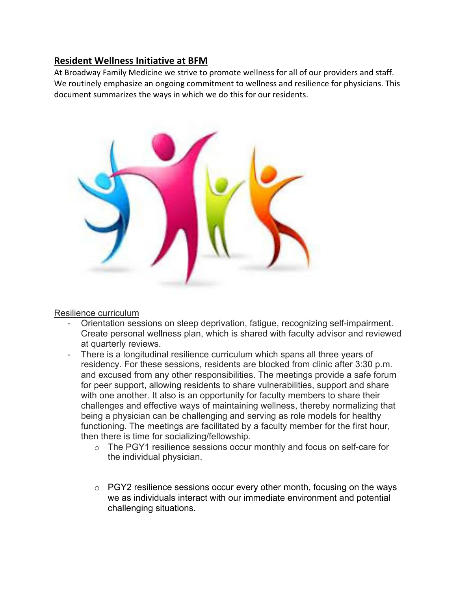# **Resident Wellness Initiative at BFM**

At Broadway Family Medicine we strive to promote wellness for all of our providers and staff. We routinely emphasize an ongoing commitment to wellness and resilience for physicians. This document summarizes the ways in which we do this for our residents.



Resilience curriculum

- Orientation sessions on sleep deprivation, fatigue, recognizing self-impairment. Create personal wellness plan, which is shared with faculty advisor and reviewed at quarterly reviews.
- There is a longitudinal resilience curriculum which spans all three years of residency. For these sessions, residents are blocked from clinic after 3:30 p.m. and excused from any other responsibilities. The meetings provide a safe forum for peer support, allowing residents to share vulnerabilities, support and share with one another. It also is an opportunity for faculty members to share their challenges and effective ways of maintaining wellness, thereby normalizing that being a physician can be challenging and serving as role models for healthy functioning. The meetings are facilitated by a faculty member for the first hour, then there is time for socializing/fellowship.
	- o The PGY1 resilience sessions occur monthly and focus on self-care for the individual physician.
	- o PGY2 resilience sessions occur every other month, focusing on the ways we as individuals interact with our immediate environment and potential challenging situations.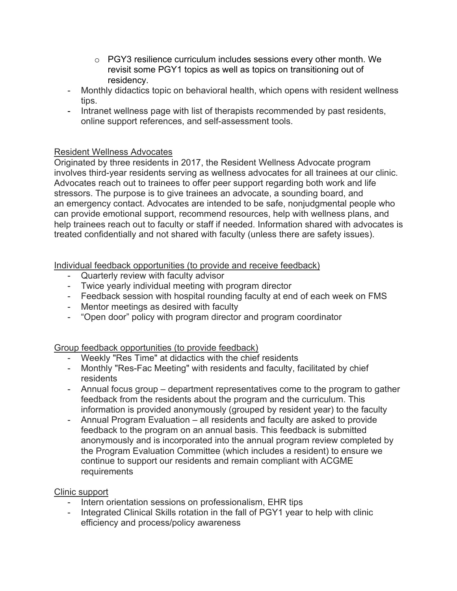- $\circ$  PGY3 resilience curriculum includes sessions every other month. We revisit some PGY1 topics as well as topics on transitioning out of residency.
- Monthly didactics topic on behavioral health, which opens with resident wellness tips.
- Intranet wellness page with list of therapists recommended by past residents, online support references, and self-assessment tools.

### Resident Wellness Advocates

Originated by three residents in 2017, the Resident Wellness Advocate program involves third-year residents serving as wellness advocates for all trainees at our clinic. Advocates reach out to trainees to offer peer support regarding both work and life stressors. The purpose is to give trainees an advocate, a sounding board, and an emergency contact. Advocates are intended to be safe, nonjudgmental people who can provide emotional support, recommend resources, help with wellness plans, and help trainees reach out to faculty or staff if needed. Information shared with advocates is treated confidentially and not shared with faculty (unless there are safety issues).

Individual feedback opportunities (to provide and receive feedback)

- Quarterly review with faculty advisor
- Twice yearly individual meeting with program director
- Feedback session with hospital rounding faculty at end of each week on FMS
- Mentor meetings as desired with faculty
- "Open door" policy with program director and program coordinator

## Group feedback opportunities (to provide feedback)

- Weekly "Res Time" at didactics with the chief residents
- Monthly "Res-Fac Meeting" with residents and faculty, facilitated by chief residents
- Annual focus group department representatives come to the program to gather feedback from the residents about the program and the curriculum. This information is provided anonymously (grouped by resident year) to the faculty
- Annual Program Evaluation all residents and faculty are asked to provide feedback to the program on an annual basis. This feedback is submitted anonymously and is incorporated into the annual program review completed by the Program Evaluation Committee (which includes a resident) to ensure we continue to support our residents and remain compliant with ACGME requirements

#### Clinic support

- Intern orientation sessions on professionalism, EHR tips
- Integrated Clinical Skills rotation in the fall of PGY1 year to help with clinic efficiency and process/policy awareness